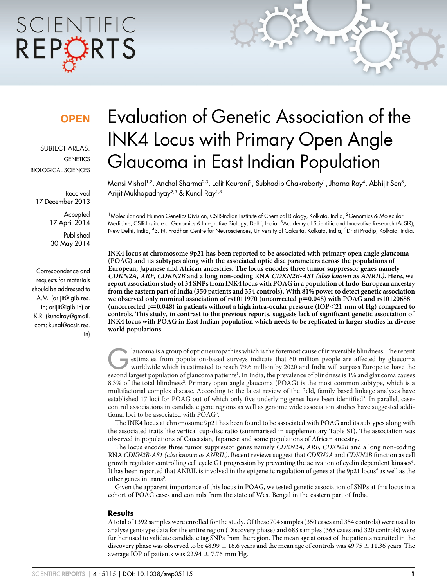# SCIENTIFIC REPORTS

### **OPFN**

SUBJECT AREAS: **GENETICS** BIOLOGICAL SCIENCES

Received 17 December 2013

> **Accepted** 17 April 2014

Published 30 May 2014

Correspondence and requests for materials should be addressed to A.M. (arijit@igib.res. in; arijit@igib.in) or K.R. (kunalray@gmail. com; kunal@acsir.res. in)

## Evaluation of Genetic Association of the INK4 Locus with Primary Open Angle Glaucoma in East Indian Population

Mansi Vishal<sup>1,2</sup>, Anchal Sharma<sup>2,3</sup>, Lalit Kaurani<sup>2</sup>, Subhadip Chakraborty', Jharna Ray<sup>4</sup>, Abhijit Sen<sup>5</sup>, Arijit Mukhopadhyay2,3 & Kunal Ray1,3

<sup>1</sup>Molecular and Human Genetics Division, CSIR-Indian Institute of Chemical Biology, Kolkata, India, <sup>2</sup>Genomics & Molecular Medicine, CSIR-Institute of Genomics & Integrative Biology, Delhi, India, <sup>3</sup>Academy of Scientific and Innovative Research (AcSIR), New Delhi, India, <sup>4</sup>S. N. Pradhan Centre for Neurosciences, University of Calcutta, Kolkata, India, <sup>5</sup>Dristi Pradip, Kolkata, India.

INK4 locus at chromosome 9p21 has been reported to be associated with primary open angle glaucoma (POAG) and its subtypes along with the associated optic disc parameters across the populations of European, Japanese and African ancestries. The locus encodes three tumor suppressor genes namely CDKN2A, ARF, CDKN2B and a long non-coding RNA CDKN2B-AS1 (also known as ANRIL). Here, we report association study of 34 SNPs from INK4 locus with POAG in a population of Indo-European ancestry from the eastern part of India (350 patients and 354 controls). With 81% power to detect genetic association we observed only nominal association of rs1011970 (uncorrected  $p=0.048$ ) with POAG and rs10120688 (uncorrected  $p=0.048$ ) in patients without a high intra-ocular pressure (IOP $\leq$ 21 mm of Hg) compared to controls. This study, in contrast to the previous reports, suggests lack of significant genetic association of INK4 locus with POAG in East Indian population which needs to be replicated in larger studies in diverse world populations.

laucoma is a group of optic neuropathies which is the foremost cause of irreversible blindness. The recent estimates from population-based surveys indicate that 60 million people are affected by glaucoma worldwide which is estimates from population-based surveys indicate that 60 million people are affected by glaucoma worldwide which is estimated to reach 79.6 million by 2020 and India will surpass Europe to have the second largest population of glaucoma patients<sup>1</sup>. In India, the prevalence of blindness is 1% and glaucoma causes 8.3% of the total blindness<sup>2</sup>. Primary open angle glaucoma (POAG) is the most common subtype, which is a multifactorial complex disease. According to the latest review of the field, family based linkage analyses have established 17 loci for POAG out of which only five underlying genes have been identified<sup>3</sup>. In parallel, casecontrol associations in candidate gene regions as well as genome wide association studies have suggested additional loci to be associated with POAG<sup>3</sup>.

The INK4 locus at chromosome 9p21 has been found to be associated with POAG and its subtypes along with the associated traits like vertical cup-disc ratio (summarised in supplementary Table S1). The association was observed in populations of Caucasian, Japanese and some populations of African ancestry.

The locus encodes three tumor suppressor genes namely CDKN2A, ARF, CDKN2B and a long non-coding RNA CDKN2B-AS1 (also known as ANRIL). Recent reviews suggest that CDKN2A and CDKN2B function as cell growth regulator controlling cell cycle G1 progression by preventing the activation of cyclin dependent kinases<sup>4</sup>. It has been reported that ANRIL is involved in the epigenetic regulation of genes at the 9p21 locus<sup>4</sup> as well as the other genes in trans<sup>5</sup>.

Given the apparent importance of this locus in POAG, we tested genetic association of SNPs at this locus in a cohort of POAG cases and controls from the state of West Bengal in the eastern part of India.

#### **Results**

A total of 1392 samples were enrolled for the study. Of these 704 samples (350 cases and 354 controls) were used to analyse genotype data for the entire region (Discovery phase) and 688 samples (368 cases and 320 controls) were further used to validate candidate tag SNPs from the region. The mean age at onset of the patients recruited in the discovery phase was observed to be 48.99  $\pm$  16.6 years and the mean age of controls was 49.75  $\pm$  11.36 years. The average IOP of patients was  $22.94 \pm 7.76$  mm Hg.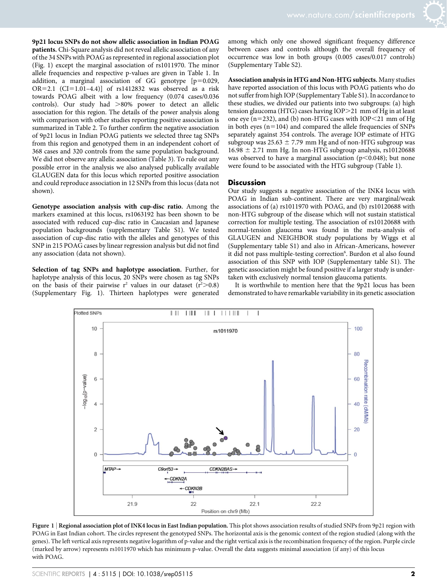9p21 locus SNPs do not show allelic association in Indian POAG patients. Chi-Square analysis did not reveal allelic association of any of the 34 SNPs with POAG as represented in regional association plot (Fig. 1) except the marginal association of rs1011970. The minor allele frequencies and respective p-values are given in Table 1. In addition, a marginal association of GG genotype  $[p=0.029, p=0.029]$ OR=2.1 (CI=1.01-4.4)] of  $rs1412832$  was observed as a risk towards POAG albeit with a low frequency (0.074 cases/0.036 controls). Our study had  $>80\%$  power to detect an allelic association for this region. The details of the power analysis along with comparison with other studies reporting positive association is summarized in Table 2. To further confirm the negative association of 9p21 locus in Indian POAG patients we selected three tag SNPs from this region and genotyped them in an independent cohort of 368 cases and 320 controls from the same population background. We did not observe any allelic association (Table 3). To rule out any possible error in the analysis we also analysed publically available GLAUGEN data for this locus which reported positive association and could reproduce association in 12 SNPs from this locus (data not shown).

Genotype association analysis with cup-disc ratio. Among the markers examined at this locus, rs1063192 has been shown to be associated with reduced cup-disc ratio in Caucasian and Japanese population backgrounds (supplementary Table S1). We tested association of cup-disc ratio with the alleles and genotypes of this SNP in 215 POAG cases by linear regression analysis but did not find any association (data not shown).

Selection of tag SNPs and haplotype association. Further, for haplotype analysis of this locus, 20 SNPs were chosen as tag SNPs on the basis of their pairwise  $r^2$  values in our dataset  $(r^2>0.8)$ (Supplementary Fig. 1). Thirteen haplotypes were generated among which only one showed significant frequency difference between cases and controls although the overall frequency of occurrence was low in both groups (0.005 cases/0.017 controls) (Supplementary Table S2).

Association analysis in HTG and Non-HTG subjects. Many studies have reported association of this locus with POAG patients who do not suffer from high IOP (Supplementary Table S1). In accordance to these studies, we divided our patients into two subgroups: (a) high tension glaucoma (HTG) cases having  $IOP > 21$  mm of Hg in at least one eye ( $n=232$ ), and (b) non-HTG cases with IOP $<$ 21 mm of Hg in both eyes  $(n=104)$  and compared the allele frequencies of SNPs separately against 354 controls. The average IOP estimate of HTG subgroup was  $25.63 \pm 7.79$  mm Hg and of non-HTG subgroup was  $16.98 \pm 2.71$  mm Hg. In non-HTG subgroup analysis, rs10120688 was observed to have a marginal association ( $p$ <0.048); but none were found to be associated with the HTG subgroup (Table 1).

#### **Discussion**

Our study suggests a negative association of the INK4 locus with POAG in Indian sub-continent. There are very marginal/weak associations of (a) rs1011970 with POAG, and (b) rs10120688 with non-HTG subgroup of the disease which will not sustain statistical correction for multiple testing. The association of rs10120688 with normal-tension glaucoma was found in the meta-analysis of GLAUGEN and NEIGHBOR study populations by Wiggs et al (Supplementary table S1) and also in African-Americans, however it did not pass multiple-testing correction<sup>6</sup>. Burdon et al also found association of this SNP with IOP (Supplementary table S1). The genetic association might be found positive if a larger study is undertaken with exclusively normal tension glaucoma patients.

It is worthwhile to mention here that the 9p21 locus has been demonstrated to have remarkable variability in its genetic association



Figure 1 | Regional association plot of INK4 locus in East Indian population. This plot shows association results of studied SNPs from 9p21 region with POAG in East Indian cohort. The circles represent the genotyped SNPs. The horizontal axis is the genomic context of the region studied (along with the genes). The left vertical axis represents negative logarithm of p-value and the right vertical axis is the recombination frequency of the region. Purple circle (marked by arrow) represents rs1011970 which has minimum p-value. Overall the data suggests minimal association (if any) of this locus with POAG.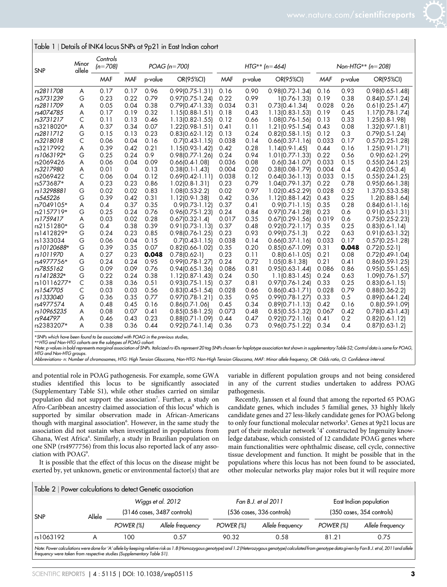#### Table 1 <sup>|</sup> Details of INK4 locus SNPs at 9p21 in East Indian cohort

| <b>SNP</b>  | Minor<br>allele | Controls<br>$(n=708)$ | POAG $(n=700)$ |         |                     | $HTG^{**}$ (n=464) |         |                     | Non-HTG** $(n=208)$ |         |                     |
|-------------|-----------------|-----------------------|----------------|---------|---------------------|--------------------|---------|---------------------|---------------------|---------|---------------------|
|             |                 | <b>MAF</b>            | <b>MAF</b>     | p-value | OR(95%CI)           | <b>MAF</b>         | p-value | OR(95%CI)           | MAF                 | p-value | OR(95%CI)           |
| rs2811708   | A               | 0.17                  | 0.17           | 0.96    | $0.99(0.75-1.31)$   | 0.16               | 0.90    | $0.98(0.72-1.34)$   | 0.16                | 0.93    | $0.98(0.65-1.48)$   |
| rs3731239   | G               | 0.23                  | 0.22           | 0.79    | $0.97(0.75-1.24)$   | 0.22               | 0.99    | $1(0.76 - 1.33)$    | 0.19                | 0.38    | $0.84(0.57-1.24)$   |
| rs2811709   | A               | 0.05                  | 0.04           | 0.38    | $0.79(0.47-1.33)$   | 0.034              | 0.31    | $0.73(0.4-1.34)$    | 0.028               | 0.26    | $0.61(0.25-1.47)$   |
| rs4074785   | A               | 0.17                  | 0.19           | 0.32    | $1.15(0.88-1.51)$   | 0.18               | 0.43    | 1.13(0.83-1.53)     | 0.19                | 0.45    | 1.17(0.78-1.74)     |
| rs3731217   | C               | 0.11                  | 0.13           | 0.46    | 1.13(0.82-1.55)     | 0.12               | 0.66    | 1.08(0.76-1.56)     | 0.13                | 0.33    | 1.25(0.8-1.98)      |
| rs3218020*  | A               | 0.37                  | 0.34           | 0.07    | 1.22(0.98-1.51)     | 0.41               | 0.11    | 1.21(0.95-1.54)     | 0.43                | 0.08    | 1.32(0.97-1.81)     |
| rs2811712   | G               | 0.15                  | 0.13           | 0.23    | $0.83(0.62-1.12)$   | 0.13               | 0.24    | $0.82(0.58-1.15)$   | 0.12                | 0.3     | $0.79(0.5-1.24)$    |
| rs3218018   | C               | 0.06                  | 0.04           | 0.16    | $0.7(0.43-1.15)$    | 0.038              | 0.14    | $0.66(0.37-1.16)$   | 0.033               | 0.17    | $0.57(0.25-1.28)$   |
| rs3217992   | A               | 0.39                  | 0.42           | 0.21    | 1.15(0.93-1.42)     | 0.42               | 0.28    | $1.14(0.9-1.45)$    | 0.44                | 0.16    | $1.25(0.91-1.71)$   |
| rs1063192*  | G               | 0.25                  | 0.24           | 0.9     | $0.98(0.77-1.26)$   | 0.24               | 0.94    | $1.01(0.77-1.33)$   | 0.22                | 0.56    | $0.9(0.62 - 1.29)$  |
| rs2069426   | A               | 0.06                  | 0.04           | 0.09    | $0.66(0.4-1.08)$    | 0.036              | 0.08    | $0.6(0.34-1.07)$    | 0.033               | 0.15    | $0.55(0.24-1.25)$   |
| rs3217980   | A               | 0.01                  | 0              | 0.13    | $0.38(0.1-1.43)$    | 0.004              | 0.20    | $0.38(0.08-1.79)$   | 0.004               | 0.4     | $0.42(0.05-3.4)$    |
| rs2069422   | C               | 0.06                  | 0.04           | 0.12    | $0.69(0.42-1.11)$   | 0.038              | 0.12    | $0.64(0.36-1.13)$   | 0.033               | 0.15    | $0.55(0.24-1.25)$   |
| rs573687*   | A               | 0.23                  | 0.23           | 0.86    | $1.02(0.8-1.31)$    | 0.23               | 0.79    | 1.04(0.79-1.37)     | 0.22                | 0.78    | $0.95(0.66 - 1.38)$ |
| rs13298881  | G               | 0.02                  | 0.02           | 0.83    | $1.08(0.53-2.2)$    | 0.02               | 0.97    | 1.02(0.45-2.29)     | 0.028               | 0.52    | 1.37(0.53-3.58)     |
| rs545226    | G               | 0.39                  | 0.42           | 0.31    | 1.12(0.9-1.38)      | 0.42               | 0.36    | 1.12(0.88-1.42)     | 0.43                | 0.25    | $1.2(0.88-1.64)$    |
| rs7049105*  | A               | 0.4                   | 0.37           | 0.35    | $0.9(0.73-1.12)$    | 0.37               | 0.41    | $0.9(0.71-1.15)$    | 0.35                | 0.28    | $0.84(0.61-1.16)$   |
| rs2157719*  | G               | 0.25                  | 0.24           | 0.76    | $0.96(0.75-1.23)$   | 0.24               | 0.84    | 0.97(0.74-1.28)     | 0.23                | 0.6     | $0.91(0.63-1.31)$   |
| rs1759417   | A               | 0.03                  | 0.02           | 0.28    | $0.67(0.32-1.4)$    | 0.017              | 0.35    | $0.67(0.29-1.56)$   | 0.019               | 0.6     | $0.75(0.25-2.23)$   |
| rs2151280*  | G               | 0.4                   | 0.38           | 0.39    | $0.91(0.73-1.13)$   | 0.37               | 0.48    | $0.92(0.72-1.17)$   | 0.35                | 0.25    | $0.83(0.6-1.14)$    |
| rs1412829*  | G               | 0.24                  | 0.23           | 0.85    | $0.98(0.76 - 1.25)$ | 0.23               | 0.93    | $0.99(0.75-1.3)$    | 0.22                | 0.63    | $0.91(0.63-1.32)$   |
| rs1333034   | G               | 0.06                  | 0.04           | 0.15    | $0.7(0.43-1.15)$    | 0.038              | 0.14    | $0.66(0.37-1.16)$   | 0.033               | 0.17    | $0.57(0.25-1.28)$   |
| rs10120688* | G               | 0.39                  | 0.35           | 0.07    | $0.82(0.66 - 1.02)$ | 0.35               | 0.20    | $0.85(0.67-1.09)$   | 0.31                | 0.048   | $0.72(0.52-1)$      |
| rs1011970   | A               | 0.27                  | 0.23           | 0.048   | $0.78(0.62-1)$      | 0.23               | 0.11    | $0.8(0.61-1.05)$    | 0.21                | 0.08    | $0.72(0.49-1.04)$   |
| rs4977756*  | G               | 0.24                  | 0.24           | 0.95    | $0.99(0.78-1.27)$   | 0.24               | 0.72    | $1.05(0.8-1.38)$    | 0.21                | 0.41    | $0.86(0.59-1.25)$   |
| rs7855162   | G               | 0.09                  | 0.09           | 0.76    | $0.94(0.65-1.36)$   | 0.086              | 0.81    | $0.95(0.63-1.44)$   | 0.086               | 0.86    | $0.95(0.55-1.65)$   |
| rs1412832*  | G               | 0.22                  | 0.24           | 0.38    | 1.12(0.87-1.43)     | 0.24               | 0.50    | $1.1(0.83-1.45)$    | 0.24                | 0.63    | 1.09(0.76-1.57)     |
| rs10116277* | C               | 0.38                  | 0.36           | 0.51    | $0.93(0.75-1.15)$   | 0.37               | 0.81    | $0.97(0.76-1.24)$   | 0.33                | 0.25    | $0.83(0.6-1.15)$    |
| rs1547705   | С               | 0.03                  | 0.03           | 0.56    | $0.83(0.45-1.54)$   | 0.028              | 0.66    | $0.86(0.43-1.71)$   | 0.028               | 0.79    | $0.88(0.36-2.2)$    |
| rs1333040   | G               | 0.36                  | 0.35           | 0.77    | $0.97(0.78-1.21)$   | 0.35               | 0.95    | 0.99(0.78-1.27)     | 0.33                | 0.5     | $0.89(0.64 - 1.24)$ |
| rs4977574   | A               | 0.48                  | 0.45           | 0.16    | $0.86(0.7-1.06)$    | 0.45               | 0.34    | $0.89(0.71-1.13)$   | 0.42                | 0.16    | $0.8(0.59-1.09)$    |
| rs10965235  | A               | 0.08                  | 0.07           | 0.41    | $0.85[0.58-1.25]$   | 0.073              | 0.48    | $0.85(0.55-1.32)$   | 0.067               | 0.42    | $0.78(0.43-1.43)$   |
| rs944797    | A               | 0.46                  | 0.43           | 0.23    | $0.88(0.71-1.09)$   | 0.44               | 0.47    | $0.92(0.72 - 1.16)$ | 0.41                | 0.2     | $0.82(0.6-1.12)$    |
| rs2383207*  | A               | 0.38                  | 0.36           | 0.44    | $0.92(0.74-1.14)$   | 0.36               | 0.73    | $0.96(0.75-1.22)$   | 0.34                | 0.4     | $0.87(0.63-1.2)$    |

\*SNPs which have been found to be associated with POAG in the previous studies,

\*\*HTG and Non-HTG cohorts are the subtypes of POAG cohort.

Note: p-values in bold represents marginal association of SNPs. Italicized rs-IDs represent 20 tag SNPs chosen for haplotype association test shown in supplementary Table S2; Control data is same for POAG, HTG and Non-HTG groups.

Abbreviations- n: Number of chromosomes, HTG: High Tension Glaucoma, Non-HTG: Non-High Tension Glaucoma, MAF: Minor allele frequency, OR: Odds ratio, CI: Confidence interval.

and potential role in POAG pathogenesis. For example, some GWA studies identified this locus to be significantly associated (Supplementary Table S1), while other studies carried on similar population did not support the association<sup>7</sup>. Further, a study on Afro-Caribbean ancestry claimed association of this locus<sup>8</sup> which is supported by similar observation made in African-Americans though with marginal association<sup>6</sup>. However, in the same study the association did not sustain when investigated in populations from Ghana, West Africa<sup>6</sup>. Similarly, a study in Brazilian population on one SNP (rs4977756) from this locus also reported lack of any association with POAG9 .

It is possible that the effect of this locus on the disease might be exerted by, yet unknown, genetic or environmental factor(s) that are

variable in different population groups and not being considered in any of the current studies undertaken to address POAG pathogenesis.

Recently, Janssen et al found that among the reported 65 POAG candidate genes, which includes 5 familial genes, 33 highly likely candidate genes and 27 less-likely candidate genes for POAG belong to only four functional molecular networks<sup>3</sup>. Genes at 9p21 locus are part of their molecular network '4' constructed by Ingenuity knowledge database, which consisted of 12 candidate POAG genes where main functionalities were ophthalmic disease, cell cycle, connective tissue development and function. It might be possible that in the populations where this locus has not been found to be associated, other molecular networks play major roles but it will require more

| <b>SNP</b> | Allele |           | Wiggs et al. 2012<br>(3146 cases, 3487 controls) |           | Fan B.J. et al 2011<br>(536 cases, 336 controls) | East Indian population<br>(350 cases, 354 controls) |                  |
|------------|--------|-----------|--------------------------------------------------|-----------|--------------------------------------------------|-----------------------------------------------------|------------------|
|            |        | POWER (%) | Allele frequency                                 | POWER (%) | Allele frequency                                 | POWER (%)                                           | Allele frequency |
| rs1063192  |        | 100       | 0.57                                             | 90.32     | 0.58                                             | 81.21                                               | 0.75             |